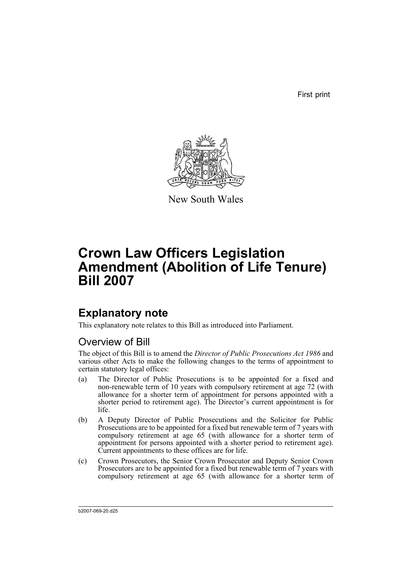First print



New South Wales

# **Crown Law Officers Legislation Amendment (Abolition of Life Tenure) Bill 2007**

# **Explanatory note**

This explanatory note relates to this Bill as introduced into Parliament.

## Overview of Bill

The object of this Bill is to amend the *Director of Public Prosecutions Act 1986* and various other Acts to make the following changes to the terms of appointment to certain statutory legal offices:

- (a) The Director of Public Prosecutions is to be appointed for a fixed and non-renewable term of 10 years with compulsory retirement at age 72 (with allowance for a shorter term of appointment for persons appointed with a shorter period to retirement age). The Director's current appointment is for life.
- (b) A Deputy Director of Public Prosecutions and the Solicitor for Public Prosecutions are to be appointed for a fixed but renewable term of 7 years with compulsory retirement at age 65 (with allowance for a shorter term of appointment for persons appointed with a shorter period to retirement age). Current appointments to these offices are for life.
- (c) Crown Prosecutors, the Senior Crown Prosecutor and Deputy Senior Crown Prosecutors are to be appointed for a fixed but renewable term of 7 years with compulsory retirement at age 65 (with allowance for a shorter term of

b2007-069-20.d25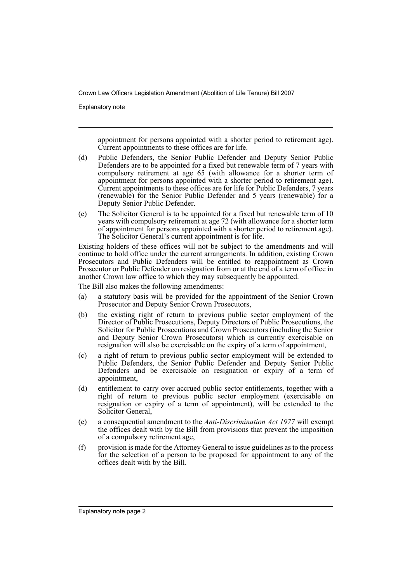Explanatory note

appointment for persons appointed with a shorter period to retirement age). Current appointments to these offices are for life.

- (d) Public Defenders, the Senior Public Defender and Deputy Senior Public Defenders are to be appointed for a fixed but renewable term of 7 years with compulsory retirement at age 65 (with allowance for a shorter term of appointment for persons appointed with a shorter period to retirement age). Current appointments to these offices are for life for Public Defenders, 7 years (renewable) for the Senior Public Defender and 5 years (renewable) for a Deputy Senior Public Defender.
- (e) The Solicitor General is to be appointed for a fixed but renewable term of 10 years with compulsory retirement at age 72 (with allowance for a shorter term of appointment for persons appointed with a shorter period to retirement age). The Solicitor General's current appointment is for life.

Existing holders of these offices will not be subject to the amendments and will continue to hold office under the current arrangements. In addition, existing Crown Prosecutors and Public Defenders will be entitled to reappointment as Crown Prosecutor or Public Defender on resignation from or at the end of a term of office in another Crown law office to which they may subsequently be appointed.

The Bill also makes the following amendments:

- (a) a statutory basis will be provided for the appointment of the Senior Crown Prosecutor and Deputy Senior Crown Prosecutors,
- (b) the existing right of return to previous public sector employment of the Director of Public Prosecutions, Deputy Directors of Public Prosecutions, the Solicitor for Public Prosecutions and Crown Prosecutors (including the Senior and Deputy Senior Crown Prosecutors) which is currently exercisable on resignation will also be exercisable on the expiry of a term of appointment,
- (c) a right of return to previous public sector employment will be extended to Public Defenders, the Senior Public Defender and Deputy Senior Public Defenders and be exercisable on resignation or expiry of a term of appointment,
- (d) entitlement to carry over accrued public sector entitlements, together with a right of return to previous public sector employment (exercisable on resignation or expiry of a term of appointment), will be extended to the Solicitor General,
- (e) a consequential amendment to the *Anti-Discrimination Act 1977* will exempt the offices dealt with by the Bill from provisions that prevent the imposition of a compulsory retirement age,
- (f) provision is made for the Attorney General to issue guidelines as to the process for the selection of a person to be proposed for appointment to any of the offices dealt with by the Bill.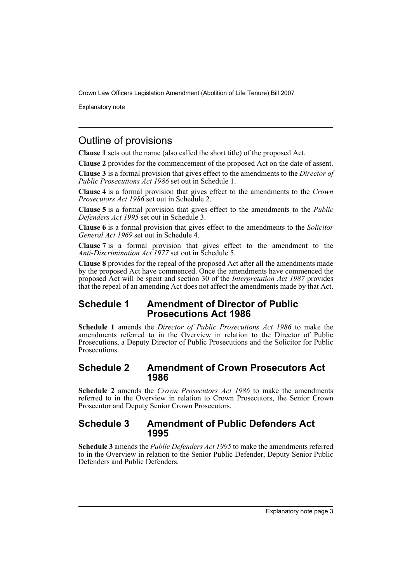Explanatory note

## Outline of provisions

**Clause 1** sets out the name (also called the short title) of the proposed Act.

**Clause 2** provides for the commencement of the proposed Act on the date of assent.

**Clause 3** is a formal provision that gives effect to the amendments to the *Director of Public Prosecutions Act 1986* set out in Schedule 1.

**Clause 4** is a formal provision that gives effect to the amendments to the *Crown Prosecutors Act 1986* set out in Schedule 2.

**Clause 5** is a formal provision that gives effect to the amendments to the *Public Defenders Act 1995* set out in Schedule 3.

**Clause 6** is a formal provision that gives effect to the amendments to the *Solicitor General Act 1969* set out in Schedule 4.

**Clause 7** is a formal provision that gives effect to the amendment to the *Anti-Discrimination Act 1977* set out in Schedule 5.

**Clause 8** provides for the repeal of the proposed Act after all the amendments made by the proposed Act have commenced. Once the amendments have commenced the proposed Act will be spent and section 30 of the *Interpretation Act 1987* provides that the repeal of an amending Act does not affect the amendments made by that Act.

## **Schedule 1 Amendment of Director of Public Prosecutions Act 1986**

**Schedule 1** amends the *Director of Public Prosecutions Act 1986* to make the amendments referred to in the Overview in relation to the Director of Public Prosecutions, a Deputy Director of Public Prosecutions and the Solicitor for Public Prosecutions.

## **Schedule 2 Amendment of Crown Prosecutors Act 1986**

**Schedule 2** amends the *Crown Prosecutors Act 1986* to make the amendments referred to in the Overview in relation to Crown Prosecutors, the Senior Crown Prosecutor and Deputy Senior Crown Prosecutors.

### **Schedule 3 Amendment of Public Defenders Act 1995**

**Schedule 3** amends the *Public Defenders Act 1995* to make the amendments referred to in the Overview in relation to the Senior Public Defender, Deputy Senior Public Defenders and Public Defenders.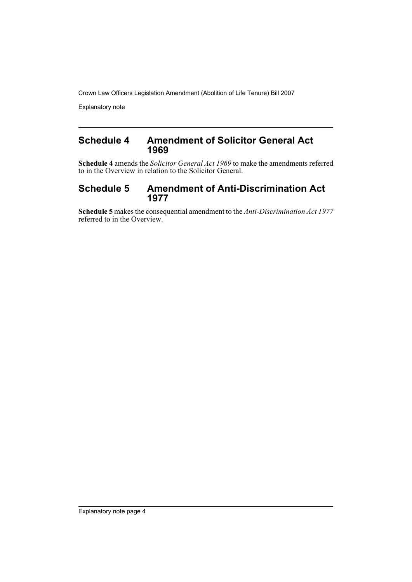Explanatory note

## **Schedule 4 Amendment of Solicitor General Act 1969**

**Schedule 4** amends the *Solicitor General Act 1969* to make the amendments referred to in the Overview in relation to the Solicitor General.

## **Schedule 5 Amendment of Anti-Discrimination Act 1977**

**Schedule 5** makes the consequential amendment to the *Anti-Discrimination Act 1977* referred to in the Overview.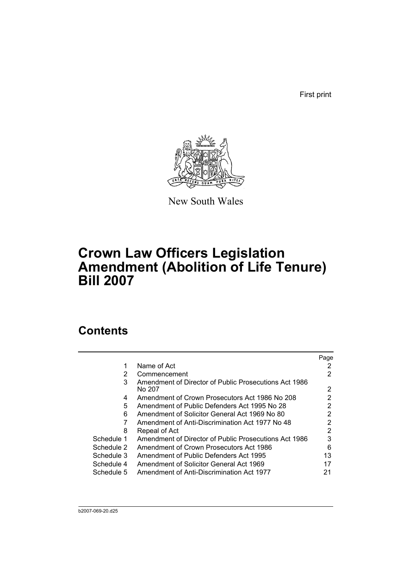First print



New South Wales

# **Crown Law Officers Legislation Amendment (Abolition of Life Tenure) Bill 2007**

# **Contents**

|            |                                                       | Page |
|------------|-------------------------------------------------------|------|
|            | Name of Act                                           |      |
| 2          | Commencement                                          | 2    |
| 3          | Amendment of Director of Public Prosecutions Act 1986 |      |
|            | No 207                                                | 2    |
| 4          | Amendment of Crown Prosecutors Act 1986 No 208        | 2    |
| 5          | Amendment of Public Defenders Act 1995 No 28          | 2    |
| 6          | Amendment of Solicitor General Act 1969 No 80         | 2    |
|            | Amendment of Anti-Discrimination Act 1977 No 48       | 2    |
| 8          | Repeal of Act                                         | 2    |
| Schedule 1 | Amendment of Director of Public Prosecutions Act 1986 | 3    |
| Schedule 2 | Amendment of Crown Prosecutors Act 1986               | 6    |
| Schedule 3 | Amendment of Public Defenders Act 1995                | 13   |
| Schedule 4 | Amendment of Solicitor General Act 1969               |      |
| Schedule 5 | Amendment of Anti-Discrimination Act 1977             | 21   |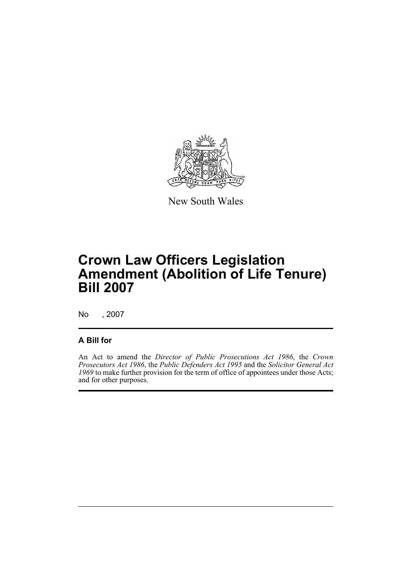

New South Wales

# **Crown Law Officers Legislation Amendment (Abolition of Life Tenure) Bill 2007**

No , 2007

## **A Bill for**

An Act to amend the *Director of Public Prosecutions Act 1986*, the *Crown Prosecutors Act 1986*, the *Public Defenders Act 1995* and the *Solicitor General Act 1969* to make further provision for the term of office of appointees under those Acts; and for other purposes.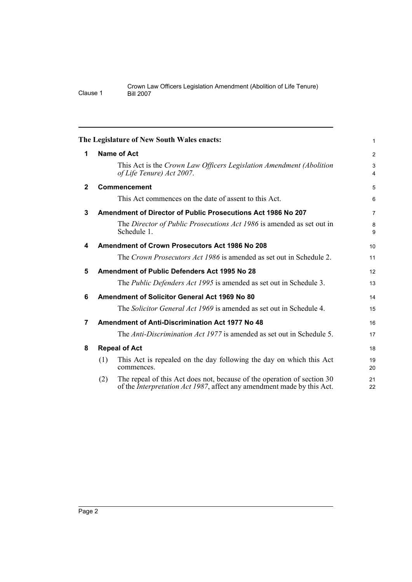<span id="page-7-7"></span><span id="page-7-6"></span><span id="page-7-5"></span><span id="page-7-4"></span><span id="page-7-3"></span><span id="page-7-2"></span><span id="page-7-1"></span><span id="page-7-0"></span>

|              | The Legislature of New South Wales enacts:                                                                                                                       | 1              |
|--------------|------------------------------------------------------------------------------------------------------------------------------------------------------------------|----------------|
| 1            | <b>Name of Act</b>                                                                                                                                               | $\overline{2}$ |
|              | This Act is the Crown Law Officers Legislation Amendment (Abolition<br>of Life Tenure) Act 2007.                                                                 | 3<br>4         |
| $\mathbf{2}$ | Commencement                                                                                                                                                     | 5              |
|              | This Act commences on the date of assent to this Act.                                                                                                            | 6              |
| 3            | Amendment of Director of Public Prosecutions Act 1986 No 207                                                                                                     | 7              |
|              | The Director of Public Prosecutions Act 1986 is amended as set out in<br>Schedule 1.                                                                             | 8<br>9         |
| 4            | <b>Amendment of Crown Prosecutors Act 1986 No 208</b>                                                                                                            | 10             |
|              | The Crown Prosecutors Act 1986 is amended as set out in Schedule 2.                                                                                              | 11             |
| 5            | Amendment of Public Defenders Act 1995 No 28                                                                                                                     | 12             |
|              | The <i>Public Defenders Act 1995</i> is amended as set out in Schedule 3.                                                                                        | 13             |
| 6            | Amendment of Solicitor General Act 1969 No 80                                                                                                                    | 14             |
|              | The Solicitor General Act 1969 is amended as set out in Schedule 4.                                                                                              | 15             |
| 7            | <b>Amendment of Anti-Discrimination Act 1977 No 48</b>                                                                                                           | 16             |
|              | The Anti-Discrimination Act 1977 is amended as set out in Schedule 5.                                                                                            | 17             |
| 8            | <b>Repeal of Act</b>                                                                                                                                             | 18             |
|              | This Act is repealed on the day following the day on which this Act<br>(1)<br>commences.                                                                         | 19<br>20       |
|              | The repeal of this Act does not, because of the operation of section 30<br>(2)<br>of the <i>Interpretation Act 1987</i> , affect any amendment made by this Act. | 21<br>22       |
|              |                                                                                                                                                                  |                |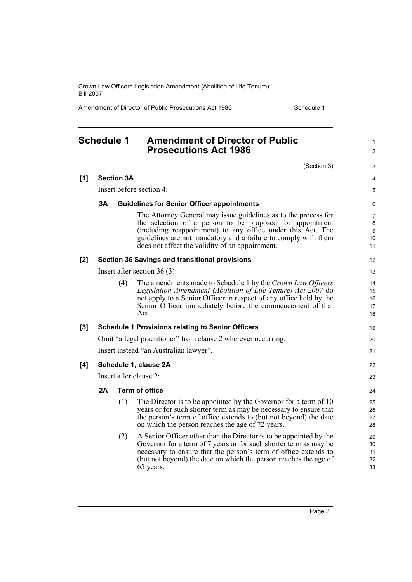Amendment of Director of Public Prosecutions Act 1986 Schedule 1

1 2

## <span id="page-8-0"></span>**Schedule 1 Amendment of Director of Public Prosecutions Act 1986**

|     |    |                   | (Section 3)                                                                                                                                                                                                                                                                                                     | 3                                    |
|-----|----|-------------------|-----------------------------------------------------------------------------------------------------------------------------------------------------------------------------------------------------------------------------------------------------------------------------------------------------------------|--------------------------------------|
| [1] |    | <b>Section 3A</b> |                                                                                                                                                                                                                                                                                                                 | 4                                    |
|     |    |                   | Insert before section 4:                                                                                                                                                                                                                                                                                        | 5                                    |
|     | 3A |                   | <b>Guidelines for Senior Officer appointments</b>                                                                                                                                                                                                                                                               | 6                                    |
|     |    |                   | The Attorney General may issue guidelines as to the process for<br>the selection of a person to be proposed for appointment<br>(including reappointment) to any office under this Act. The<br>guidelines are not mandatory and a failure to comply with them<br>does not affect the validity of an appointment. | $\overline{7}$<br>8<br>9<br>10<br>11 |
| [2] |    |                   | <b>Section 36 Savings and transitional provisions</b>                                                                                                                                                                                                                                                           | 12                                   |
|     |    |                   | Insert after section $36(3)$ :                                                                                                                                                                                                                                                                                  | 13                                   |
|     |    | (4)               | The amendments made to Schedule 1 by the Crown Law Officers<br>Legislation Amendment (Abolition of Life Tenure) Act 2007 do<br>not apply to a Senior Officer in respect of any office held by the<br>Senior Officer immediately before the commencement of that<br>Act.                                         | 14<br>15<br>16<br>17<br>18           |
| [3] |    |                   | <b>Schedule 1 Provisions relating to Senior Officers</b>                                                                                                                                                                                                                                                        | 19                                   |
|     |    |                   | Omit "a legal practitioner" from clause 2 wherever occurring.                                                                                                                                                                                                                                                   | 20                                   |
|     |    |                   | Insert instead "an Australian lawyer".                                                                                                                                                                                                                                                                          | 21                                   |
| [4] |    |                   | Schedule 1, clause 2A                                                                                                                                                                                                                                                                                           | 22                                   |
|     |    |                   | Insert after clause 2:                                                                                                                                                                                                                                                                                          | 23                                   |
|     | 2A |                   | <b>Term of office</b>                                                                                                                                                                                                                                                                                           | 24                                   |
|     |    | (1)               | The Director is to be appointed by the Governor for a term of 10<br>years or for such shorter term as may be necessary to ensure that<br>the person's term of office extends to (but not beyond) the date<br>on which the person reaches the age of 72 years.                                                   | 25<br>26<br>27<br>28                 |
|     |    | (2)               | A Senior Officer other than the Director is to be appointed by the<br>Governor for a term of 7 years or for such shorter term as may be<br>necessary to ensure that the person's term of office extends to<br>(but not beyond) the date on which the person reaches the age of<br>65 years.                     | 29<br>30<br>31<br>32<br>33           |
|     |    |                   |                                                                                                                                                                                                                                                                                                                 |                                      |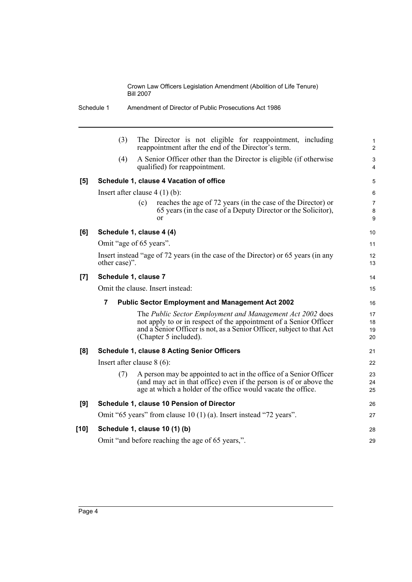|        | Schedule 1    | Amendment of Director of Public Prosecutions Act 1986                                                                                                                                                                            |                          |
|--------|---------------|----------------------------------------------------------------------------------------------------------------------------------------------------------------------------------------------------------------------------------|--------------------------|
|        | (3)           | The Director is not eligible for reappointment, including<br>reappointment after the end of the Director's term.                                                                                                                 | $\mathbf{1}$<br>2        |
|        | (4)           | A Senior Officer other than the Director is eligible (if otherwise<br>qualified) for reappointment.                                                                                                                              | 3<br>4                   |
| [5]    |               | Schedule 1, clause 4 Vacation of office                                                                                                                                                                                          | 5                        |
|        |               | Insert after clause $4(1)(b)$ :                                                                                                                                                                                                  | 6                        |
|        |               | reaches the age of 72 years (in the case of the Director) or<br>(c)<br>65 years (in the case of a Deputy Director or the Solicitor),<br>$\alpha$ r                                                                               | $\overline{7}$<br>8<br>9 |
| [6]    |               | Schedule 1, clause 4 (4)                                                                                                                                                                                                         | 10                       |
|        |               | Omit "age of 65 years".                                                                                                                                                                                                          | 11                       |
|        | other case)". | Insert instead "age of 72 years (in the case of the Director) or 65 years (in any                                                                                                                                                | 12<br>13                 |
| $[7]$  |               | Schedule 1, clause 7                                                                                                                                                                                                             | 14                       |
|        |               | Omit the clause. Insert instead:                                                                                                                                                                                                 | 15                       |
|        | 7             | <b>Public Sector Employment and Management Act 2002</b>                                                                                                                                                                          | 16                       |
|        |               | The Public Sector Employment and Management Act 2002 does<br>not apply to or in respect of the appointment of a Senior Officer<br>and a Senior Officer is not, as a Senior Officer, subject to that Act<br>(Chapter 5 included). | 17<br>18<br>19<br>20     |
| [8]    |               | <b>Schedule 1, clause 8 Acting Senior Officers</b>                                                                                                                                                                               | 21                       |
|        |               | Insert after clause $8(6)$ :                                                                                                                                                                                                     | 22                       |
|        | (7)           | A person may be appointed to act in the office of a Senior Officer<br>(and may act in that office) even if the person is of or above the<br>age at which a holder of the office would vacate the office.                         | 23<br>24<br>25           |
| [9]    |               | Schedule 1, clause 10 Pension of Director                                                                                                                                                                                        | 26                       |
|        |               | Omit "65 years" from clause 10 (1) (a). Insert instead "72 years".                                                                                                                                                               | 27                       |
| $[10]$ |               | Schedule 1, clause 10 (1) (b)                                                                                                                                                                                                    | 28                       |
|        |               | Omit "and before reaching the age of 65 years,".                                                                                                                                                                                 | 29                       |
|        |               |                                                                                                                                                                                                                                  |                          |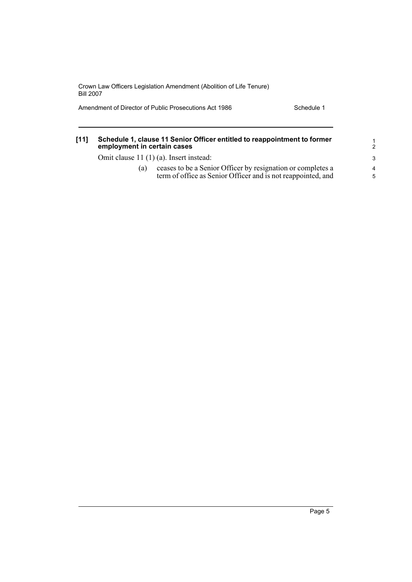Amendment of Director of Public Prosecutions Act 1986 Schedule 1

| [11] | Schedule 1, clause 11 Senior Officer entitled to reappointment to former<br>employment in certain cases |                                                                                                                             |                      |  |
|------|---------------------------------------------------------------------------------------------------------|-----------------------------------------------------------------------------------------------------------------------------|----------------------|--|
|      | Omit clause 11 (1) (a). Insert instead:                                                                 |                                                                                                                             |                      |  |
|      | (a)                                                                                                     | ceases to be a Senior Officer by resignation or completes a<br>term of office as Senior Officer and is not reappointed, and | $\overline{4}$<br>-5 |  |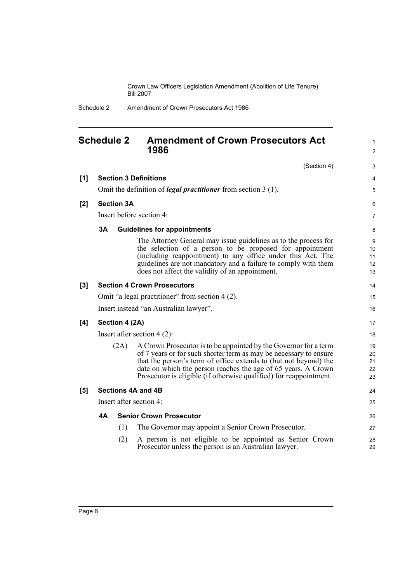1

Schedule 2 Amendment of Crown Prosecutors Act 1986

## <span id="page-11-0"></span>**Schedule 2 Amendment of Crown Prosecutors Act 1986**

|     |                |                   | 1986                                                                                                                                                                                                                                                                                                                                             | 2                          |
|-----|----------------|-------------------|--------------------------------------------------------------------------------------------------------------------------------------------------------------------------------------------------------------------------------------------------------------------------------------------------------------------------------------------------|----------------------------|
|     |                |                   | (Section 4)                                                                                                                                                                                                                                                                                                                                      | 3                          |
| [1] |                |                   | <b>Section 3 Definitions</b>                                                                                                                                                                                                                                                                                                                     | 4                          |
|     |                |                   | Omit the definition of <i>legal practitioner</i> from section $3(1)$ .                                                                                                                                                                                                                                                                           | 5                          |
| [2] |                | <b>Section 3A</b> |                                                                                                                                                                                                                                                                                                                                                  | 6                          |
|     |                |                   | Insert before section 4:                                                                                                                                                                                                                                                                                                                         | $\overline{7}$             |
|     | 3A             |                   | <b>Guidelines for appointments</b>                                                                                                                                                                                                                                                                                                               | 8                          |
|     |                |                   | The Attorney General may issue guidelines as to the process for<br>the selection of a person to be proposed for appointment<br>(including reappointment) to any office under this Act. The<br>guidelines are not mandatory and a failure to comply with them<br>does not affect the validity of an appointment.                                  | 9<br>10<br>11<br>12<br>13  |
| [3] |                |                   | <b>Section 4 Crown Prosecutors</b>                                                                                                                                                                                                                                                                                                               | 14                         |
|     |                |                   | Omit "a legal practitioner" from section 4 (2).                                                                                                                                                                                                                                                                                                  | 15                         |
|     |                |                   | Insert instead "an Australian lawyer".                                                                                                                                                                                                                                                                                                           | 16                         |
| [4] | Section 4 (2A) |                   |                                                                                                                                                                                                                                                                                                                                                  |                            |
|     |                |                   | Insert after section $4(2)$ :                                                                                                                                                                                                                                                                                                                    | 18                         |
|     |                | (2A)              | A Crown Prosecutor is to be appointed by the Governor for a term<br>of 7 years or for such shorter term as may be necessary to ensure<br>that the person's term of office extends to (but not beyond) the<br>date on which the person reaches the age of 65 years. A Crown<br>Prosecutor is eligible (if otherwise qualified) for reappointment. | 19<br>20<br>21<br>22<br>23 |
| [5] |                |                   | Sections 4A and 4B                                                                                                                                                                                                                                                                                                                               | 24                         |
|     |                |                   | Insert after section 4:                                                                                                                                                                                                                                                                                                                          | 25                         |
|     | <b>4A</b>      |                   | <b>Senior Crown Prosecutor</b>                                                                                                                                                                                                                                                                                                                   | 26                         |
|     |                | (1)               | The Governor may appoint a Senior Crown Prosecutor.                                                                                                                                                                                                                                                                                              | 27                         |
|     |                | (2)               | A person is not eligible to be appointed as Senior Crown<br>Prosecutor unless the person is an Australian lawyer.                                                                                                                                                                                                                                | 28<br>29                   |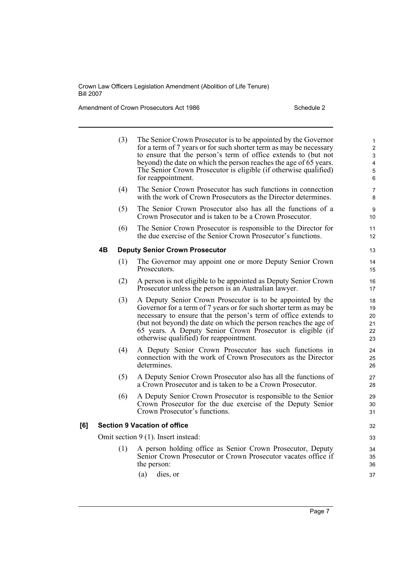Amendment of Crown Prosecutors Act 1986 Schedule 2

|     |    | (3) | The Senior Crown Prosecutor is to be appointed by the Governor<br>for a term of 7 years or for such shorter term as may be necessary<br>to ensure that the person's term of office extends to (but not<br>beyond) the date on which the person reaches the age of 65 years.<br>The Senior Crown Prosecutor is eligible (if otherwise qualified)<br>for reappointment.           | $\mathbf{1}$<br>$\overline{2}$<br>3<br>$\overline{\mathbf{4}}$<br>5<br>6 |
|-----|----|-----|---------------------------------------------------------------------------------------------------------------------------------------------------------------------------------------------------------------------------------------------------------------------------------------------------------------------------------------------------------------------------------|--------------------------------------------------------------------------|
|     |    | (4) | The Senior Crown Prosecutor has such functions in connection<br>with the work of Crown Prosecutors as the Director determines.                                                                                                                                                                                                                                                  | 7<br>8                                                                   |
|     |    | (5) | The Senior Crown Prosecutor also has all the functions of a<br>Crown Prosecutor and is taken to be a Crown Prosecutor.                                                                                                                                                                                                                                                          | 9<br>10                                                                  |
|     |    | (6) | The Senior Crown Prosecutor is responsible to the Director for<br>the due exercise of the Senior Crown Prosecutor's functions.                                                                                                                                                                                                                                                  | 11<br>12                                                                 |
|     | 4Β |     | <b>Deputy Senior Crown Prosecutor</b>                                                                                                                                                                                                                                                                                                                                           | 13                                                                       |
|     |    | (1) | The Governor may appoint one or more Deputy Senior Crown<br>Prosecutors.                                                                                                                                                                                                                                                                                                        | 14<br>15                                                                 |
|     |    | (2) | A person is not eligible to be appointed as Deputy Senior Crown<br>Prosecutor unless the person is an Australian lawyer.                                                                                                                                                                                                                                                        | 16<br>17                                                                 |
|     |    | (3) | A Deputy Senior Crown Prosecutor is to be appointed by the<br>Governor for a term of 7 years or for such shorter term as may be<br>necessary to ensure that the person's term of office extends to<br>(but not beyond) the date on which the person reaches the age of<br>65 years. A Deputy Senior Crown Prosecutor is eligible (if<br>otherwise qualified) for reappointment. | 18<br>19<br>20<br>21<br>22<br>23                                         |
|     |    | (4) | A Deputy Senior Crown Prosecutor has such functions in<br>connection with the work of Crown Prosecutors as the Director<br>determines.                                                                                                                                                                                                                                          | 24<br>25<br>26                                                           |
|     |    | (5) | A Deputy Senior Crown Prosecutor also has all the functions of<br>a Crown Prosecutor and is taken to be a Crown Prosecutor.                                                                                                                                                                                                                                                     | 27<br>28                                                                 |
|     |    | (6) | A Deputy Senior Crown Prosecutor is responsible to the Senior<br>Crown Prosecutor for the due exercise of the Deputy Senior<br>Crown Prosecutor's functions.                                                                                                                                                                                                                    | 29<br>30<br>31                                                           |
| [6] |    |     | <b>Section 9 Vacation of office</b>                                                                                                                                                                                                                                                                                                                                             | 32                                                                       |
|     |    |     | Omit section 9 (1). Insert instead:                                                                                                                                                                                                                                                                                                                                             | 33                                                                       |
|     |    | (1) | A person holding office as Senior Crown Prosecutor, Deputy<br>Senior Crown Prosecutor or Crown Prosecutor vacates office if<br>the person:                                                                                                                                                                                                                                      | 34<br>35<br>36                                                           |
|     |    |     | dies, or<br>(a)                                                                                                                                                                                                                                                                                                                                                                 | 37                                                                       |

Page 7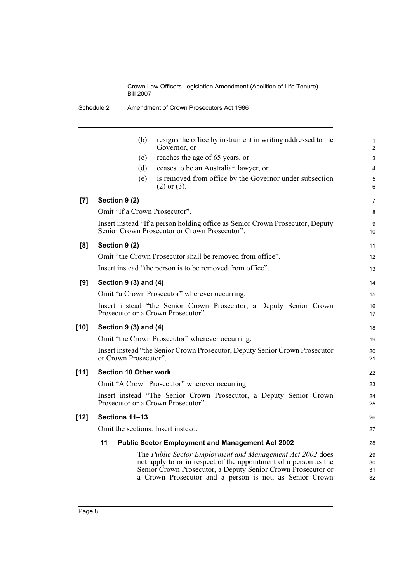|      | (b)                                | resigns the office by instrument in writing addressed to the<br>Governor, or                                                                                                                                                                             | 1<br>$\overline{2}$  |
|------|------------------------------------|----------------------------------------------------------------------------------------------------------------------------------------------------------------------------------------------------------------------------------------------------------|----------------------|
|      | (c)                                | reaches the age of 65 years, or                                                                                                                                                                                                                          | 3                    |
|      | (d)                                | ceases to be an Australian lawyer, or                                                                                                                                                                                                                    | 4                    |
|      | (e)                                | is removed from office by the Governor under subsection<br>$(2)$ or $(3)$ .                                                                                                                                                                              | 5<br>6               |
| [7]  | Section 9 (2)                      |                                                                                                                                                                                                                                                          | 7                    |
|      | Omit "If a Crown Prosecutor".      |                                                                                                                                                                                                                                                          | 8                    |
|      |                                    | Insert instead "If a person holding office as Senior Crown Prosecutor, Deputy<br>Senior Crown Prosecutor or Crown Prosecutor".                                                                                                                           | 9<br>10              |
| [8]  | Section 9 (2)                      |                                                                                                                                                                                                                                                          | 11                   |
|      |                                    | Omit "the Crown Prosecutor shall be removed from office".                                                                                                                                                                                                | 12                   |
|      |                                    | Insert instead "the person is to be removed from office".                                                                                                                                                                                                | 13                   |
| [9]  | Section 9 (3) and (4)              |                                                                                                                                                                                                                                                          | 14                   |
|      |                                    | Omit "a Crown Prosecutor" wherever occurring.                                                                                                                                                                                                            | 15                   |
|      |                                    | Insert instead "the Senior Crown Prosecutor, a Deputy Senior Crown<br>Prosecutor or a Crown Prosecutor".                                                                                                                                                 | 16<br>17             |
| [10] | Section 9 (3) and (4)              |                                                                                                                                                                                                                                                          | 18                   |
|      |                                    | Omit "the Crown Prosecutor" wherever occurring.                                                                                                                                                                                                          | 19                   |
|      | or Crown Prosecutor".              | Insert instead "the Senior Crown Prosecutor, Deputy Senior Crown Prosecutor                                                                                                                                                                              | 20<br>21             |
| [11] | <b>Section 10 Other work</b>       |                                                                                                                                                                                                                                                          | 22                   |
|      |                                    | Omit "A Crown Prosecutor" wherever occurring.                                                                                                                                                                                                            | 23                   |
|      |                                    | Insert instead "The Senior Crown Prosecutor, a Deputy Senior Crown<br>Prosecutor or a Crown Prosecutor".                                                                                                                                                 | 24<br>25             |
| [12] | Sections 11-13                     |                                                                                                                                                                                                                                                          | 26                   |
|      | Omit the sections. Insert instead: |                                                                                                                                                                                                                                                          | 27                   |
|      | 11                                 | <b>Public Sector Employment and Management Act 2002</b>                                                                                                                                                                                                  | 28                   |
|      |                                    | The Public Sector Employment and Management Act 2002 does<br>not apply to or in respect of the appointment of a person as the<br>Senior Crown Prosecutor, a Deputy Senior Crown Prosecutor or<br>a Crown Prosecutor and a person is not, as Senior Crown | 29<br>30<br>31<br>32 |
|      |                                    |                                                                                                                                                                                                                                                          |                      |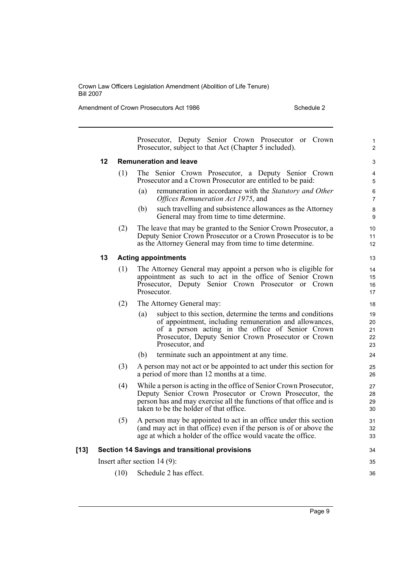Amendment of Crown Prosecutors Act 1986 Schedule 2

|        |    |      | Prosecutor, Deputy Senior Crown Prosecutor or Crown<br>Prosecutor, subject to that Act (Chapter 5 included).                                                                                                                                               | 1<br>$\overline{2}$        |
|--------|----|------|------------------------------------------------------------------------------------------------------------------------------------------------------------------------------------------------------------------------------------------------------------|----------------------------|
|        | 12 |      | <b>Remuneration and leave</b>                                                                                                                                                                                                                              | 3                          |
|        |    | (1)  | The Senior Crown Prosecutor, a Deputy Senior Crown<br>Prosecutor and a Crown Prosecutor are entitled to be paid:                                                                                                                                           | 4<br>5                     |
|        |    |      | remuneration in accordance with the Statutory and Other<br>(a)<br>Offices Remuneration Act 1975, and                                                                                                                                                       | 6<br>$\overline{7}$        |
|        |    |      | (b)<br>such travelling and subsistence allowances as the Attorney<br>General may from time to time determine.                                                                                                                                              | $\bf 8$<br>9               |
|        |    | (2)  | The leave that may be granted to the Senior Crown Prosecutor, a<br>Deputy Senior Crown Prosecutor or a Crown Prosecutor is to be<br>as the Attorney General may from time to time determine.                                                               | 10<br>11<br>12             |
|        | 13 |      | <b>Acting appointments</b>                                                                                                                                                                                                                                 | 13                         |
|        |    | (1)  | The Attorney General may appoint a person who is eligible for<br>appointment as such to act in the office of Senior Crown<br>Prosecutor, Deputy Senior Crown Prosecutor or Crown<br>Prosecutor.                                                            | 14<br>15<br>16<br>17       |
|        |    | (2)  | The Attorney General may:                                                                                                                                                                                                                                  | 18                         |
|        |    |      | subject to this section, determine the terms and conditions<br>(a)<br>of appointment, including remuneration and allowances,<br>of a person acting in the office of Senior Crown<br>Prosecutor, Deputy Senior Crown Prosecutor or Crown<br>Prosecutor, and | 19<br>20<br>21<br>22<br>23 |
|        |    |      | (b)<br>terminate such an appointment at any time.                                                                                                                                                                                                          | 24                         |
|        |    | (3)  | A person may not act or be appointed to act under this section for<br>a period of more than 12 months at a time.                                                                                                                                           | 25<br>26                   |
|        |    | (4)  | While a person is acting in the office of Senior Crown Prosecutor,<br>Deputy Senior Crown Prosecutor or Crown Prosecutor, the<br>person has and may exercise all the functions of that office and is<br>taken to be the holder of that office.             | 27<br>28<br>29<br>30       |
|        |    | (5)  | A person may be appointed to act in an office under this section<br>(and may act in that office) even if the person is of or above the<br>age at which a holder of the office would vacate the office.                                                     | 31<br>32<br>33             |
| $[13]$ |    |      | <b>Section 14 Savings and transitional provisions</b>                                                                                                                                                                                                      | 34                         |
|        |    |      | Insert after section $14(9)$ :                                                                                                                                                                                                                             | 35                         |
|        |    | (10) | Schedule 2 has effect.                                                                                                                                                                                                                                     | 36                         |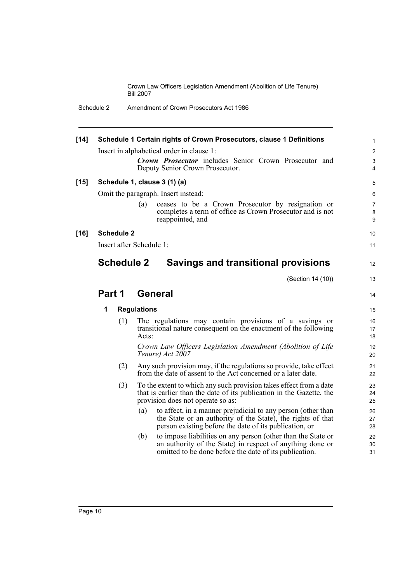| $[14]$ |        |                   | Schedule 1 Certain rights of Crown Prosecutors, clause 1 Definitions<br>Insert in alphabetical order in clause 1:<br>Crown Prosecutor includes Senior Crown Prosecutor and<br>Deputy Senior Crown Prosecutor. | $\mathbf{1}$<br>2<br>$\ensuremath{\mathsf{3}}$<br>4 |
|--------|--------|-------------------|---------------------------------------------------------------------------------------------------------------------------------------------------------------------------------------------------------------|-----------------------------------------------------|
| $[15]$ |        |                   | Schedule 1, clause 3 (1) (a)                                                                                                                                                                                  | 5                                                   |
|        |        |                   | Omit the paragraph. Insert instead:                                                                                                                                                                           | 6                                                   |
|        |        |                   | ceases to be a Crown Prosecutor by resignation or<br>(a)<br>completes a term of office as Crown Prosecutor and is not<br>reappointed, and                                                                     | $\overline{7}$<br>8<br>$\boldsymbol{9}$             |
| $[16]$ |        | <b>Schedule 2</b> |                                                                                                                                                                                                               | 10                                                  |
|        |        |                   | Insert after Schedule 1:                                                                                                                                                                                      | 11                                                  |
|        |        | <b>Schedule 2</b> | <b>Savings and transitional provisions</b>                                                                                                                                                                    | 12                                                  |
|        |        |                   | (Section 14 (10))                                                                                                                                                                                             | 13                                                  |
|        | Part 1 |                   | <b>General</b>                                                                                                                                                                                                | 14                                                  |
|        | 1      |                   | <b>Regulations</b>                                                                                                                                                                                            | 15                                                  |
|        |        | (1)               | The regulations may contain provisions of a savings or<br>transitional nature consequent on the enactment of the following<br>Acts:                                                                           | 16<br>17<br>18                                      |
|        |        |                   | Crown Law Officers Legislation Amendment (Abolition of Life<br>Tenure) Act 2007                                                                                                                               | 19<br>20                                            |
|        |        | (2)               | Any such provision may, if the regulations so provide, take effect<br>from the date of assent to the Act concerned or a later date.                                                                           | 21<br>22                                            |
|        |        | (3)               | To the extent to which any such provision takes effect from a date<br>that is earlier than the date of its publication in the Gazette, the<br>provision does not operate so as:                               | 23<br>24<br>25                                      |
|        |        |                   | to affect, in a manner prejudicial to any person (other than<br>(a)<br>the State or an authority of the State), the rights of that<br>person existing before the date of its publication, or                  | 26<br>27<br>28                                      |
|        |        |                   | (b)<br>to impose liabilities on any person (other than the State or<br>an authority of the State) in respect of anything done or<br>omitted to be done before the date of its publication.                    | 29<br>30<br>31                                      |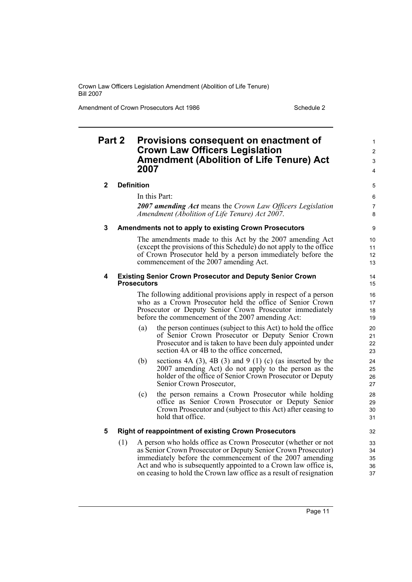Amendment of Crown Prosecutors Act 1986 Schedule 2

## **Part 2 Provisions consequent on enactment of Crown Law Officers Legislation Amendment (Abolition of Life Tenure) Act 2007**

### **2 Definition**

In this Part:

*2007 amending Act* means the *Crown Law Officers Legislation Amendment (Abolition of Life Tenure) Act 2007*.

### **3 Amendments not to apply to existing Crown Prosecutors**

The amendments made to this Act by the 2007 amending Act (except the provisions of this Schedule) do not apply to the office of Crown Prosecutor held by a person immediately before the commencement of the 2007 amending Act.

### **4 Existing Senior Crown Prosecutor and Deputy Senior Crown Prosecutors**

The following additional provisions apply in respect of a person who as a Crown Prosecutor held the office of Senior Crown Prosecutor or Deputy Senior Crown Prosecutor immediately before the commencement of the 2007 amending Act:

- (a) the person continues (subject to this Act) to hold the office of Senior Crown Prosecutor or Deputy Senior Crown Prosecutor and is taken to have been duly appointed under section 4A or 4B to the office concerned,
- (b) sections  $4A(3)$ ,  $4B(3)$  and  $9(1)$  (c) (as inserted by the 2007 amending Act) do not apply to the person as the holder of the office of Senior Crown Prosecutor or Deputy Senior Crown Prosecutor,
- (c) the person remains a Crown Prosecutor while holding office as Senior Crown Prosecutor or Deputy Senior Crown Prosecutor and (subject to this Act) after ceasing to hold that office.

### **5 Right of reappointment of existing Crown Prosecutors**

(1) A person who holds office as Crown Prosecutor (whether or not as Senior Crown Prosecutor or Deputy Senior Crown Prosecutor) immediately before the commencement of the 2007 amending Act and who is subsequently appointed to a Crown law office is, on ceasing to hold the Crown law office as a result of resignation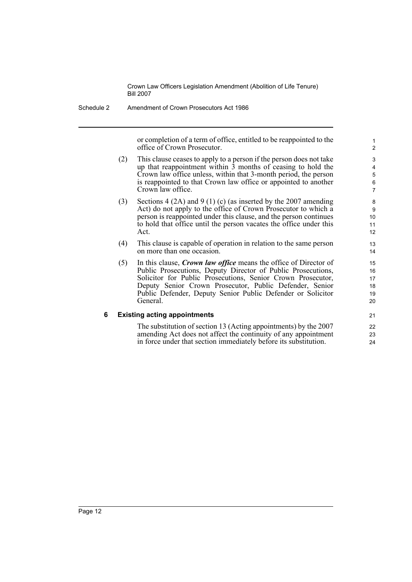Schedule 2 Amendment of Crown Prosecutors Act 1986

or completion of a term of office, entitled to be reappointed to the office of Crown Prosecutor.

- (2) This clause ceases to apply to a person if the person does not take up that reappointment within 3 months of ceasing to hold the Crown law office unless, within that 3-month period, the person is reappointed to that Crown law office or appointed to another Crown law office.
- (3) Sections 4 (2A) and 9 (1) (c) (as inserted by the 2007 amending Act) do not apply to the office of Crown Prosecutor to which a person is reappointed under this clause, and the person continues to hold that office until the person vacates the office under this Act.
- (4) This clause is capable of operation in relation to the same person on more than one occasion.
- (5) In this clause, *Crown law office* means the office of Director of Public Prosecutions, Deputy Director of Public Prosecutions, Solicitor for Public Prosecutions, Senior Crown Prosecutor, Deputy Senior Crown Prosecutor, Public Defender, Senior Public Defender, Deputy Senior Public Defender or Solicitor General.

### **6 Existing acting appointments**

The substitution of section 13 (Acting appointments) by the 2007 amending Act does not affect the continuity of any appointment in force under that section immediately before its substitution.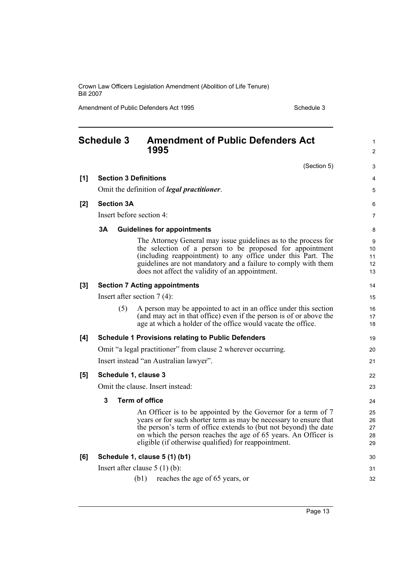Amendment of Public Defenders Act 1995 Schedule 3

<span id="page-18-0"></span>

| <b>Schedule 3</b> |                              | <b>Amendment of Public Defenders Act</b><br>1995                                                                                                                                                                                                                                                                                 | 1<br>2                     |
|-------------------|------------------------------|----------------------------------------------------------------------------------------------------------------------------------------------------------------------------------------------------------------------------------------------------------------------------------------------------------------------------------|----------------------------|
|                   |                              | (Section 5)                                                                                                                                                                                                                                                                                                                      | 3                          |
| [1]               | <b>Section 3 Definitions</b> |                                                                                                                                                                                                                                                                                                                                  | $\overline{4}$             |
|                   |                              | Omit the definition of <i>legal practitioner</i> .                                                                                                                                                                                                                                                                               | 5                          |
| [2]               | <b>Section 3A</b>            |                                                                                                                                                                                                                                                                                                                                  | 6                          |
|                   |                              | Insert before section 4:                                                                                                                                                                                                                                                                                                         | $\overline{7}$             |
|                   | 3A                           | <b>Guidelines for appointments</b>                                                                                                                                                                                                                                                                                               | 8                          |
|                   |                              | The Attorney General may issue guidelines as to the process for<br>the selection of a person to be proposed for appointment<br>(including reappointment) to any office under this Part. The<br>guidelines are not mandatory and a failure to comply with them<br>does not affect the validity of an appointment.                 | 9<br>10<br>11<br>12<br>13  |
| [3]               |                              | <b>Section 7 Acting appointments</b>                                                                                                                                                                                                                                                                                             | 14                         |
|                   |                              | Insert after section $7(4)$ :                                                                                                                                                                                                                                                                                                    | 15                         |
|                   | (5)                          | A person may be appointed to act in an office under this section<br>(and may act in that office) even if the person is of or above the<br>age at which a holder of the office would vacate the office.                                                                                                                           | 16<br>17<br>18             |
| [4]               |                              | <b>Schedule 1 Provisions relating to Public Defenders</b>                                                                                                                                                                                                                                                                        | 19                         |
|                   |                              | Omit "a legal practitioner" from clause 2 wherever occurring.                                                                                                                                                                                                                                                                    | 20                         |
|                   |                              | Insert instead "an Australian lawyer".                                                                                                                                                                                                                                                                                           | 21                         |
| [5]               | Schedule 1, clause 3         |                                                                                                                                                                                                                                                                                                                                  | 22                         |
|                   |                              | Omit the clause. Insert instead:                                                                                                                                                                                                                                                                                                 | 23                         |
|                   | 3                            | <b>Term of office</b>                                                                                                                                                                                                                                                                                                            | 24                         |
|                   |                              | An Officer is to be appointed by the Governor for a term of 7<br>years or for such shorter term as may be necessary to ensure that<br>the person's term of office extends to (but not beyond) the date<br>on which the person reaches the age of 65 years. An Officer is<br>eligible (if otherwise qualified) for reappointment. | 25<br>26<br>27<br>28<br>29 |
| [6]               |                              | Schedule 1, clause 5 (1) (b1)                                                                                                                                                                                                                                                                                                    | 30                         |
|                   |                              | Insert after clause $5(1)(b)$ :                                                                                                                                                                                                                                                                                                  | 31                         |
|                   |                              | reaches the age of 65 years, or<br>(b1)                                                                                                                                                                                                                                                                                          | 32                         |

Page 13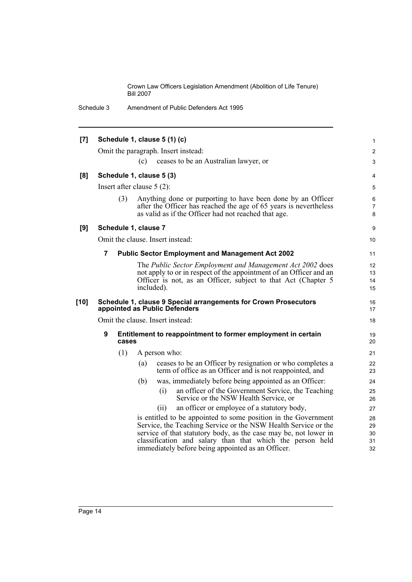Schedule 3 Amendment of Public Defenders Act 1995

| [7]    |                              |       | Schedule 1, clause 5 (1) (c)                                                                                                                                                             | $\mathbf{1}$ |
|--------|------------------------------|-------|------------------------------------------------------------------------------------------------------------------------------------------------------------------------------------------|--------------|
|        |                              |       | Omit the paragraph. Insert instead:                                                                                                                                                      | 2            |
|        |                              | (c)   | ceases to be an Australian lawyer, or                                                                                                                                                    | 3            |
| [8]    | Schedule 1, clause 5 (3)     |       |                                                                                                                                                                                          | 4            |
|        | Insert after clause $5(2)$ : |       |                                                                                                                                                                                          | 5            |
|        | (3)                          |       | Anything done or purporting to have been done by an Officer<br>after the Officer has reached the age of 65 years is nevertheless<br>as valid as if the Officer had not reached that age. | 6<br>7<br>8  |
| [9]    | Schedule 1, clause 7         |       |                                                                                                                                                                                          | 9            |
|        |                              |       | Omit the clause. Insert instead:                                                                                                                                                         | 10           |
|        | $\overline{7}$               |       | <b>Public Sector Employment and Management Act 2002</b>                                                                                                                                  | 11           |
|        |                              |       | The Public Sector Employment and Management Act 2002 does                                                                                                                                | 12           |
|        |                              |       | not apply to or in respect of the appointment of an Officer and an                                                                                                                       | 13           |
|        |                              |       | Officer is not, as an Officer, subject to that Act (Chapter 5<br>included).                                                                                                              | 14           |
|        |                              |       |                                                                                                                                                                                          | 15           |
| $[10]$ |                              |       | Schedule 1, clause 9 Special arrangements for Crown Prosecutors<br>appointed as Public Defenders                                                                                         | 16<br>17     |
|        |                              |       | Omit the clause. Insert instead:                                                                                                                                                         | 18           |
|        | 9                            | cases | Entitlement to reappointment to former employment in certain                                                                                                                             | 19<br>20     |
|        | (1)                          |       | A person who:                                                                                                                                                                            | 21           |
|        |                              | (a)   | ceases to be an Officer by resignation or who completes a                                                                                                                                | 22           |
|        |                              |       | term of office as an Officer and is not reappointed, and                                                                                                                                 | 23           |
|        |                              | (b)   | was, immediately before being appointed as an Officer:                                                                                                                                   | 24           |
|        |                              |       | an officer of the Government Service, the Teaching<br>(i)<br>Service or the NSW Health Service, or                                                                                       | 25<br>26     |
|        |                              |       | an officer or employee of a statutory body,<br>(ii)                                                                                                                                      | 27           |
|        |                              |       | is entitled to be appointed to some position in the Government                                                                                                                           | 28           |
|        |                              |       | Service, the Teaching Service or the NSW Health Service or the                                                                                                                           | 29           |
|        |                              |       | service of that statutory body, as the case may be, not lower in                                                                                                                         | 30           |
|        |                              |       | classification and salary than that which the person held<br>immediately before being appointed as an Officer.                                                                           | 31<br>32     |
|        |                              |       |                                                                                                                                                                                          |              |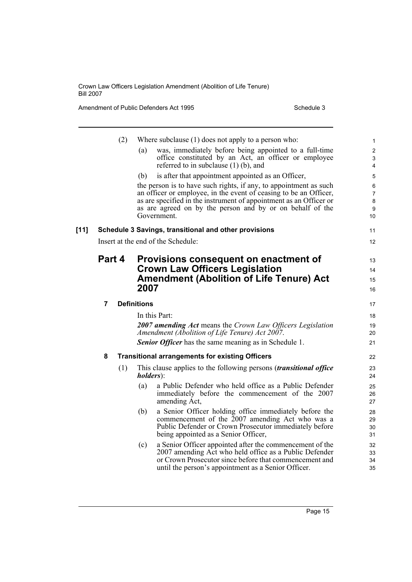Amendment of Public Defenders Act 1995 Schedule 3

|        |                                                                                                                                 | (2) | Where subclause $(1)$ does not apply to a person who:                                                            |    | $\mathbf{1}$ |  |
|--------|---------------------------------------------------------------------------------------------------------------------------------|-----|------------------------------------------------------------------------------------------------------------------|----|--------------|--|
|        |                                                                                                                                 |     | was, immediately before being appointed to a full-time<br>(a)                                                    |    | $\mathbf{2}$ |  |
|        |                                                                                                                                 |     | office constituted by an Act, an officer or employee                                                             |    | 3            |  |
|        |                                                                                                                                 |     | referred to in subclause $(1)$ (b), and                                                                          |    | 4            |  |
|        |                                                                                                                                 |     | is after that appointment appointed as an Officer,<br>(b)                                                        |    | 5            |  |
|        |                                                                                                                                 |     | the person is to have such rights, if any, to appointment as such                                                |    | 6<br>7       |  |
|        | an officer or employee, in the event of ceasing to be an Officer,                                                               |     |                                                                                                                  |    |              |  |
|        | as are specified in the instrument of appointment as an Officer or<br>as are agreed on by the person and by or on behalf of the |     |                                                                                                                  |    |              |  |
|        |                                                                                                                                 |     | Government.                                                                                                      |    | 9<br>10      |  |
| $[11]$ | Schedule 3 Savings, transitional and other provisions                                                                           |     |                                                                                                                  | 11 |              |  |
|        | Insert at the end of the Schedule:                                                                                              |     |                                                                                                                  |    |              |  |
|        |                                                                                                                                 |     |                                                                                                                  |    |              |  |
|        | Part 4                                                                                                                          |     | Provisions consequent on enactment of                                                                            |    | 13           |  |
|        |                                                                                                                                 |     | <b>Crown Law Officers Legislation</b>                                                                            |    | 14           |  |
|        |                                                                                                                                 |     | <b>Amendment (Abolition of Life Tenure) Act</b>                                                                  |    | 15           |  |
|        |                                                                                                                                 |     | 2007                                                                                                             |    | 16           |  |
|        | 7                                                                                                                               |     | <b>Definitions</b>                                                                                               |    | 17           |  |
|        |                                                                                                                                 |     | In this Part:                                                                                                    |    | 18           |  |
|        |                                                                                                                                 |     | <b>2007 amending Act means the Crown Law Officers Legislation</b>                                                |    | 19           |  |
|        |                                                                                                                                 |     | Amendment (Abolition of Life Tenure) Act 2007.                                                                   |    | 20           |  |
|        |                                                                                                                                 |     | <b>Senior Officer</b> has the same meaning as in Schedule 1.                                                     |    | 21           |  |
|        | 8                                                                                                                               |     | <b>Transitional arrangements for existing Officers</b>                                                           |    | 22           |  |
|        |                                                                                                                                 | (1) | This clause applies to the following persons <i>(transitional office</i> )<br><i>holders</i> ):                  |    | 23<br>24     |  |
|        |                                                                                                                                 |     | a Public Defender who held office as a Public Defender<br>(a)                                                    |    | 25           |  |
|        |                                                                                                                                 |     | immediately before the commencement of the 2007                                                                  |    | 26           |  |
|        |                                                                                                                                 |     | amending Act,                                                                                                    |    | 27           |  |
|        |                                                                                                                                 |     | a Senior Officer holding office immediately before the<br>(b)                                                    |    | 28           |  |
|        |                                                                                                                                 |     | commencement of the 2007 amending Act who was a                                                                  |    | 29           |  |
|        |                                                                                                                                 |     | Public Defender or Crown Prosecutor immediately before                                                           |    | 30           |  |
|        |                                                                                                                                 |     | being appointed as a Senior Officer,                                                                             |    | 31           |  |
|        |                                                                                                                                 |     | a Senior Officer appointed after the commencement of the<br>(c)                                                  |    | 32           |  |
|        |                                                                                                                                 |     | 2007 amending Act who held office as a Public Defender<br>or Crown Prosecutor since before that commencement and |    | 33           |  |
|        |                                                                                                                                 |     | until the person's appointment as a Senior Officer.                                                              |    | 34<br>35     |  |
|        |                                                                                                                                 |     |                                                                                                                  |    |              |  |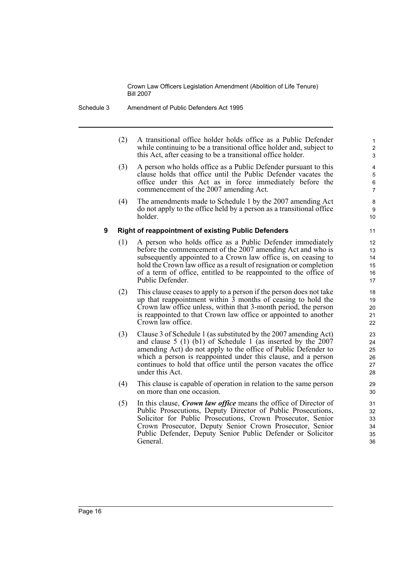(2) A transitional office holder holds office as a Public Defender while continuing to be a transitional office holder and, subject to this Act, after ceasing to be a transitional office holder.

- (3) A person who holds office as a Public Defender pursuant to this clause holds that office until the Public Defender vacates the office under this Act as in force immediately before the commencement of the 2007 amending Act.
- (4) The amendments made to Schedule 1 by the 2007 amending Act do not apply to the office held by a person as a transitional office holder.

### **9 Right of reappointment of existing Public Defenders**

- (1) A person who holds office as a Public Defender immediately before the commencement of the 2007 amending Act and who is subsequently appointed to a Crown law office is, on ceasing to hold the Crown law office as a result of resignation or completion of a term of office, entitled to be reappointed to the office of Public Defender.
- (2) This clause ceases to apply to a person if the person does not take up that reappointment within  $\overline{3}$  months of ceasing to hold the Crown law office unless, within that 3-month period, the person is reappointed to that Crown law office or appointed to another Crown law office.
- (3) Clause 3 of Schedule 1 (as substituted by the 2007 amending Act) and clause 5 (1) (b1) of Schedule 1 (as inserted by the 2007 amending Act) do not apply to the office of Public Defender to which a person is reappointed under this clause, and a person continues to hold that office until the person vacates the office under this Act.
- (4) This clause is capable of operation in relation to the same person on more than one occasion.
- (5) In this clause, *Crown law office* means the office of Director of Public Prosecutions, Deputy Director of Public Prosecutions, Solicitor for Public Prosecutions, Crown Prosecutor, Senior Crown Prosecutor, Deputy Senior Crown Prosecutor, Senior Public Defender, Deputy Senior Public Defender or Solicitor General.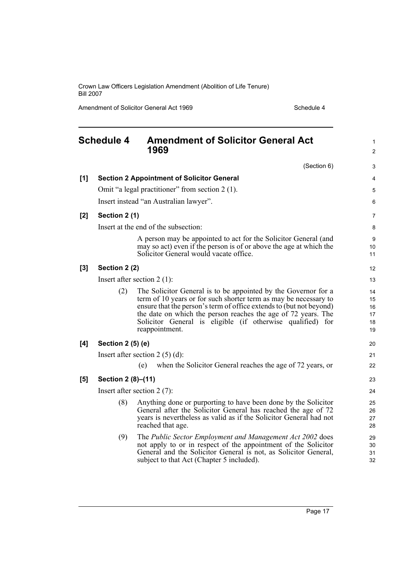Amendment of Solicitor General Act 1969 Schedule 4

<span id="page-22-0"></span>

|       | <b>Schedule 4</b>                                 | <b>Amendment of Solicitor General Act</b><br>1969                                                                                                                                                                                                                                                                                                          |                                  |  |  |  |
|-------|---------------------------------------------------|------------------------------------------------------------------------------------------------------------------------------------------------------------------------------------------------------------------------------------------------------------------------------------------------------------------------------------------------------------|----------------------------------|--|--|--|
|       |                                                   | (Section 6)                                                                                                                                                                                                                                                                                                                                                | 3                                |  |  |  |
| [1]   | <b>Section 2 Appointment of Solicitor General</b> |                                                                                                                                                                                                                                                                                                                                                            |                                  |  |  |  |
|       |                                                   | Omit "a legal practitioner" from section 2 (1).                                                                                                                                                                                                                                                                                                            | 5                                |  |  |  |
|       | Insert instead "an Australian lawyer".            | 6                                                                                                                                                                                                                                                                                                                                                          |                                  |  |  |  |
| $[2]$ | Section 2 (1)                                     | 7                                                                                                                                                                                                                                                                                                                                                          |                                  |  |  |  |
|       | Insert at the end of the subsection:              |                                                                                                                                                                                                                                                                                                                                                            |                                  |  |  |  |
|       |                                                   | A person may be appointed to act for the Solicitor General (and<br>may so act) even if the person is of or above the age at which the<br>Solicitor General would vacate office.                                                                                                                                                                            | 9<br>10<br>11                    |  |  |  |
| [3]   | Section 2 (2)                                     |                                                                                                                                                                                                                                                                                                                                                            |                                  |  |  |  |
|       |                                                   | Insert after section $2(1)$ :                                                                                                                                                                                                                                                                                                                              | 13                               |  |  |  |
|       | (2)                                               | The Solicitor General is to be appointed by the Governor for a<br>term of 10 years or for such shorter term as may be necessary to<br>ensure that the person's term of office extends to (but not beyond)<br>the date on which the person reaches the age of 72 years. The<br>Solicitor General is eligible (if otherwise qualified) for<br>reappointment. | 14<br>15<br>16<br>17<br>18<br>19 |  |  |  |
| [4]   | Section 2 (5) (e)                                 |                                                                                                                                                                                                                                                                                                                                                            | 20                               |  |  |  |
|       | Insert after section $2(5)(d)$ :                  |                                                                                                                                                                                                                                                                                                                                                            |                                  |  |  |  |
|       |                                                   | when the Solicitor General reaches the age of 72 years, or<br>(e)                                                                                                                                                                                                                                                                                          | 22                               |  |  |  |
| [5]   | Section 2 (8)-(11)                                |                                                                                                                                                                                                                                                                                                                                                            | 23                               |  |  |  |
|       | Insert after section $2(7)$ :                     |                                                                                                                                                                                                                                                                                                                                                            |                                  |  |  |  |
|       | (8)                                               | Anything done or purporting to have been done by the Solicitor<br>General after the Solicitor General has reached the age of 72<br>years is nevertheless as valid as if the Solicitor General had not<br>reached that age.                                                                                                                                 | 25<br>26<br>27<br>28             |  |  |  |
|       | (9)                                               | The Public Sector Employment and Management Act 2002 does<br>not apply to or in respect of the appointment of the Solicitor<br>General and the Solicitor General is not, as Solicitor General,<br>subject to that Act (Chapter 5 included).                                                                                                                | 29<br>30<br>31<br>32             |  |  |  |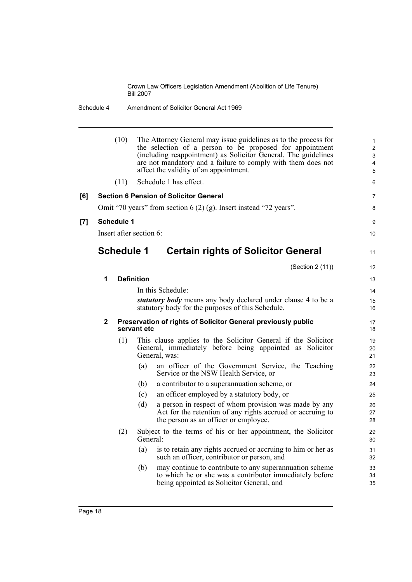|     |                                                                     | (10) |                   | The Attorney General may issue guidelines as to the process for<br>the selection of a person to be proposed for appointment<br>(including reappointment) as Solicitor General. The guidelines<br>are not mandatory and a failure to comply with them does not<br>affect the validity of an appointment. | $\mathbf{1}$<br>$\overline{c}$<br>3<br>$\overline{\mathbf{4}}$<br>5 |  |  |
|-----|---------------------------------------------------------------------|------|-------------------|---------------------------------------------------------------------------------------------------------------------------------------------------------------------------------------------------------------------------------------------------------------------------------------------------------|---------------------------------------------------------------------|--|--|
|     |                                                                     | (11) |                   | Schedule 1 has effect.                                                                                                                                                                                                                                                                                  | 6                                                                   |  |  |
| [6] | <b>Section 6 Pension of Solicitor General</b>                       |      |                   |                                                                                                                                                                                                                                                                                                         |                                                                     |  |  |
|     | Omit "70 years" from section $6(2)(g)$ . Insert instead "72 years". |      |                   |                                                                                                                                                                                                                                                                                                         |                                                                     |  |  |
| [7] | <b>Schedule 1</b>                                                   |      |                   |                                                                                                                                                                                                                                                                                                         |                                                                     |  |  |
|     | Insert after section 6:                                             |      |                   |                                                                                                                                                                                                                                                                                                         |                                                                     |  |  |
|     | <b>Schedule 1</b><br><b>Certain rights of Solicitor General</b>     |      |                   |                                                                                                                                                                                                                                                                                                         |                                                                     |  |  |
|     |                                                                     |      |                   | (Section 2 (11))                                                                                                                                                                                                                                                                                        | 12                                                                  |  |  |
|     | 1                                                                   |      | <b>Definition</b> |                                                                                                                                                                                                                                                                                                         | 13                                                                  |  |  |
|     |                                                                     |      |                   | In this Schedule:                                                                                                                                                                                                                                                                                       | 14                                                                  |  |  |
|     |                                                                     |      |                   | <i>statutory body</i> means any body declared under clause 4 to be a<br>statutory body for the purposes of this Schedule.                                                                                                                                                                               | 15<br>16                                                            |  |  |
|     | $\mathbf{2}$                                                        |      | servant etc       | Preservation of rights of Solicitor General previously public                                                                                                                                                                                                                                           | 17<br>18                                                            |  |  |
|     |                                                                     | (1)  |                   | This clause applies to the Solicitor General if the Solicitor<br>General, immediately before being appointed as Solicitor<br>General, was:                                                                                                                                                              | 19<br>20<br>21                                                      |  |  |
|     |                                                                     |      | (a)               | an officer of the Government Service, the Teaching<br>Service or the NSW Health Service, or                                                                                                                                                                                                             | 22<br>23                                                            |  |  |
|     |                                                                     |      | (b)               | a contributor to a superannuation scheme, or                                                                                                                                                                                                                                                            | 24                                                                  |  |  |
|     |                                                                     |      | (c)               | an officer employed by a statutory body, or                                                                                                                                                                                                                                                             | 25                                                                  |  |  |
|     |                                                                     |      | (d)               | a person in respect of whom provision was made by any<br>Act for the retention of any rights accrued or accruing to<br>the person as an officer or employee.                                                                                                                                            | 26<br>27<br>28                                                      |  |  |
|     |                                                                     | (2)  | General:          | Subject to the terms of his or her appointment, the Solicitor                                                                                                                                                                                                                                           | 29<br>30                                                            |  |  |
|     |                                                                     |      | (a)               | is to retain any rights accrued or accruing to him or her as<br>such an officer, contributor or person, and                                                                                                                                                                                             | 31<br>32                                                            |  |  |
|     |                                                                     |      | (b)               | may continue to contribute to any superannuation scheme<br>to which he or she was a contributor immediately before<br>being appointed as Solicitor General, and                                                                                                                                         | 33<br>34<br>35                                                      |  |  |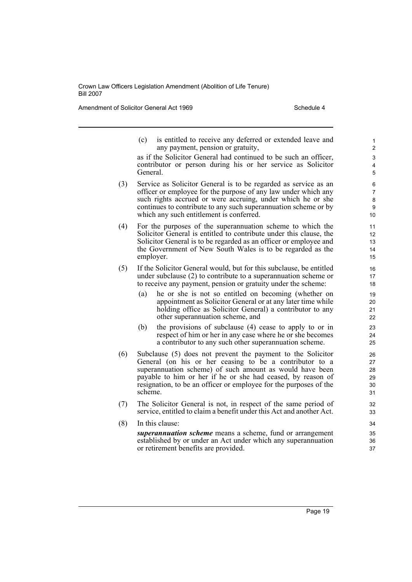Amendment of Solicitor General Act 1969 Schedule 4

(c) is entitled to receive any deferred or extended leave and any payment, pension or gratuity,

as if the Solicitor General had continued to be such an officer, contributor or person during his or her service as Solicitor General.

- (3) Service as Solicitor General is to be regarded as service as an officer or employee for the purpose of any law under which any such rights accrued or were accruing, under which he or she continues to contribute to any such superannuation scheme or by which any such entitlement is conferred.
- (4) For the purposes of the superannuation scheme to which the Solicitor General is entitled to contribute under this clause, the Solicitor General is to be regarded as an officer or employee and the Government of New South Wales is to be regarded as the employer.
- (5) If the Solicitor General would, but for this subclause, be entitled under subclause (2) to contribute to a superannuation scheme or to receive any payment, pension or gratuity under the scheme:
	- (a) he or she is not so entitled on becoming (whether on appointment as Solicitor General or at any later time while holding office as Solicitor General) a contributor to any other superannuation scheme, and
	- (b) the provisions of subclause (4) cease to apply to or in respect of him or her in any case where he or she becomes a contributor to any such other superannuation scheme.
- (6) Subclause (5) does not prevent the payment to the Solicitor General (on his or her ceasing to be a contributor to a superannuation scheme) of such amount as would have been payable to him or her if he or she had ceased, by reason of resignation, to be an officer or employee for the purposes of the scheme.
- (7) The Solicitor General is not, in respect of the same period of service, entitled to claim a benefit under this Act and another Act.
- (8) In this clause: *superannuation scheme* means a scheme, fund or arrangement established by or under an Act under which any superannuation or retirement benefits are provided.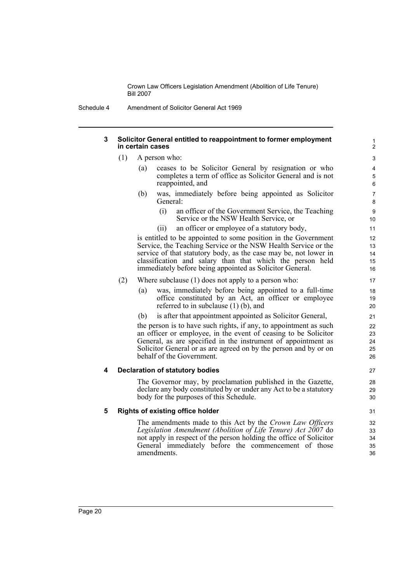Schedule 4 Amendment of Solicitor General Act 1969

### **3 Solicitor General entitled to reappointment to former employment in certain cases**

- (1) A person who:
	- (a) ceases to be Solicitor General by resignation or who completes a term of office as Solicitor General and is not reappointed, and
	- (b) was, immediately before being appointed as Solicitor General:
		- (i) an officer of the Government Service, the Teaching Service or the NSW Health Service, or
		- (ii) an officer or employee of a statutory body,

is entitled to be appointed to some position in the Government Service, the Teaching Service or the NSW Health Service or the service of that statutory body, as the case may be, not lower in classification and salary than that which the person held immediately before being appointed as Solicitor General.

### (2) Where subclause (1) does not apply to a person who:

- (a) was, immediately before being appointed to a full-time office constituted by an Act, an officer or employee referred to in subclause (1) (b), and
- (b) is after that appointment appointed as Solicitor General,

the person is to have such rights, if any, to appointment as such an officer or employee, in the event of ceasing to be Solicitor General, as are specified in the instrument of appointment as Solicitor General or as are agreed on by the person and by or on behalf of the Government.

### **4 Declaration of statutory bodies**

The Governor may, by proclamation published in the Gazette, declare any body constituted by or under any Act to be a statutory body for the purposes of this Schedule.

### **5 Rights of existing office holder**

The amendments made to this Act by the *Crown Law Officers Legislation Amendment (Abolition of Life Tenure) Act 2007* do not apply in respect of the person holding the office of Solicitor General immediately before the commencement of those amendments.

Page 20